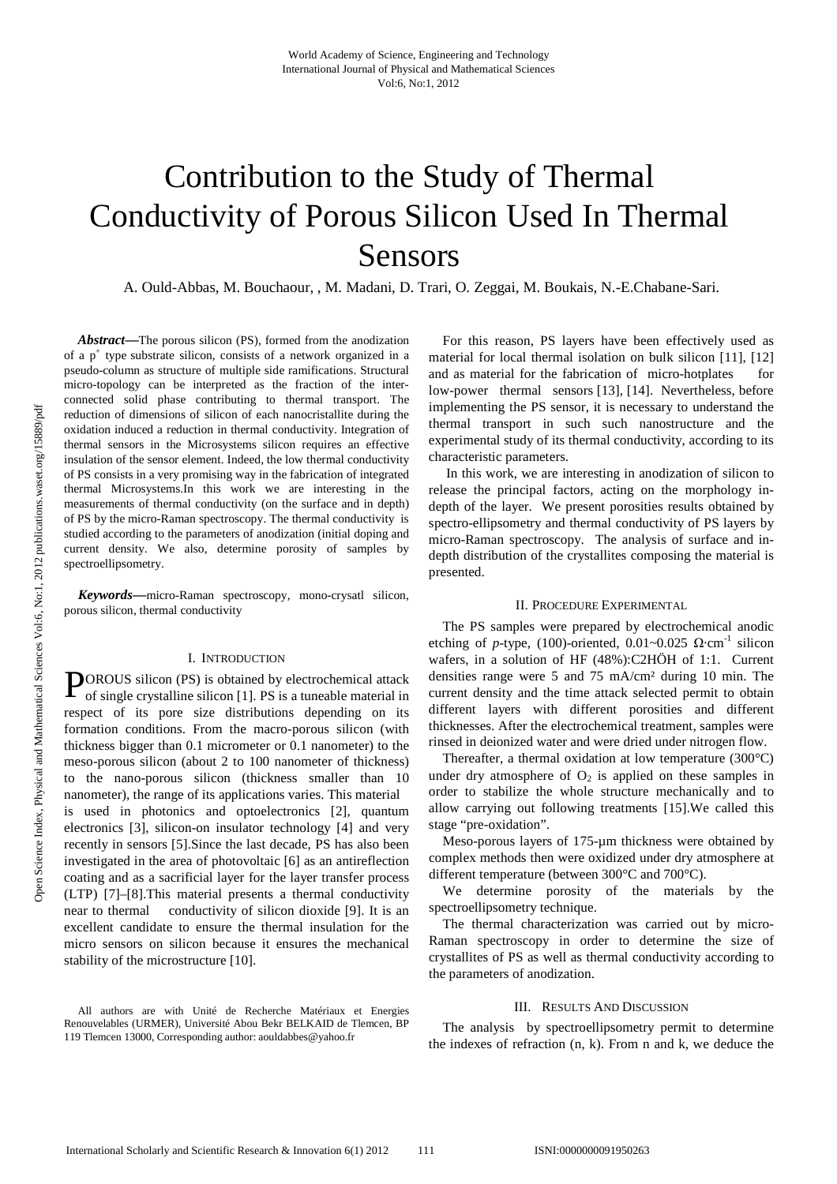# Contribution to the Study of Thermal Conductivity of Porous Silicon Used In Thermal Sensors

A. Ould-Abbas, M. Bouchaour, , M. Madani, D. Trari, O. Zeggai, M. Boukais, N.-E.Chabane-Sari.

*Abstract***—**The porous silicon (PS), formed from the anodization of a p<sup>+</sup> type substrate silicon, consists of a network organized in a pseudo-column as structure of multiple side ramifications. Structural micro-topology can be interpreted as the fraction of the interconnected solid phase contributing to thermal transport. The reduction of dimensions of silicon of each nanocristallite during the oxidation induced a reduction in thermal conductivity. Integration of thermal sensors in the Microsystems silicon requires an effective insulation of the sensor element. Indeed, the low thermal conductivity of PS consists in a very promising way in the fabrication of integrated thermal Microsystems.In this work we are interesting in the measurements of thermal conductivity (on the surface and in depth) of PS by the micro-Raman spectroscopy. The thermal conductivity is studied according to the parameters of anodization (initial doping and current density. We also, determine porosity of samples by spectroellipsometry.

*Keywords***—**micro-Raman spectroscopy, mono-crysatl silicon, porous silicon, thermal conductivity

#### I. INTRODUCTION

**POROUS** silicon (PS) is obtained by electrochemical attack of single crystalline silicon [1]. PS is a tuneable material in of single crystalline silicon [1]. PS is a tuneable material in respect of its pore size distributions depending on its formation conditions. From the macro-porous silicon (with thickness bigger than 0.1 micrometer or 0.1 nanometer) to the meso-porous silicon (about 2 to 100 nanometer of thickness) to the nano-porous silicon (thickness smaller than 10 nanometer), the range of its applications varies. This material is used in photonics and optoelectronics [2], quantum electronics [3], silicon-on insulator technology [4] and very recently in sensors [5].Since the last decade, PS has also been investigated in the area of photovoltaic [6] as an antireflection coating and as a sacrificial layer for the layer transfer process (LTP) [7]–[8].This material presents a thermal conductivity near to thermal conductivity of silicon dioxide [9]. It is an excellent candidate to ensure the thermal insulation for the micro sensors on silicon because it ensures the mechanical stability of the microstructure [10].

All authors are with Unité de Recherche Matériaux et Energies Renouvelables (URMER), Université Abou Bekr BELKAID de Tlemcen, BP 119 Tlemcen 13000, Corresponding author: aouldabbes@yahoo.fr

For this reason, PS layers have been effectively used as material for local thermal isolation on bulk silicon [11], [12] and as material for the fabrication of micro-hotplates for low-power thermal sensors [13], [14]. Nevertheless, before implementing the PS sensor, it is necessary to understand the thermal transport in such such nanostructure and the experimental study of its thermal conductivity, according to its characteristic parameters.

 In this work, we are interesting in anodization of silicon to release the principal factors, acting on the morphology indepth of the layer. We present porosities results obtained by spectro-ellipsometry and thermal conductivity of PS layers by micro-Raman spectroscopy. The analysis of surface and indepth distribution of the crystallites composing the material is presented.

### II. PROCEDURE EXPERIMENTAL

The PS samples were prepared by electrochemical anodic etching of *p*-type, (100)-oriented,  $0.01 \sim 0.025$   $\Omega$ ·cm<sup>-1</sup> silicon wafers, in a solution of HF (48%):C2HÖH of 1:1. Current densities range were 5 and 75 mA/cm² during 10 min. The current density and the time attack selected permit to obtain different layers with different porosities and different thicknesses. After the electrochemical treatment, samples were rinsed in deionized water and were dried under nitrogen flow.

Thereafter, a thermal oxidation at low temperature (300°C) under dry atmosphere of  $O_2$  is applied on these samples in order to stabilize the whole structure mechanically and to allow carrying out following treatments [15].We called this stage "pre-oxidation".

Meso-porous layers of 175-um thickness were obtained by complex methods then were oxidized under dry atmosphere at different temperature (between 300°C and 700°C).

We determine porosity of the materials by the spectroellipsometry technique.

The thermal characterization was carried out by micro-Raman spectroscopy in order to determine the size of crystallites of PS as well as thermal conductivity according to the parameters of anodization.

## III. RESULTS AND DISCUSSION

The analysis by spectroellipsometry permit to determine the indexes of refraction (n, k). From n and k, we deduce the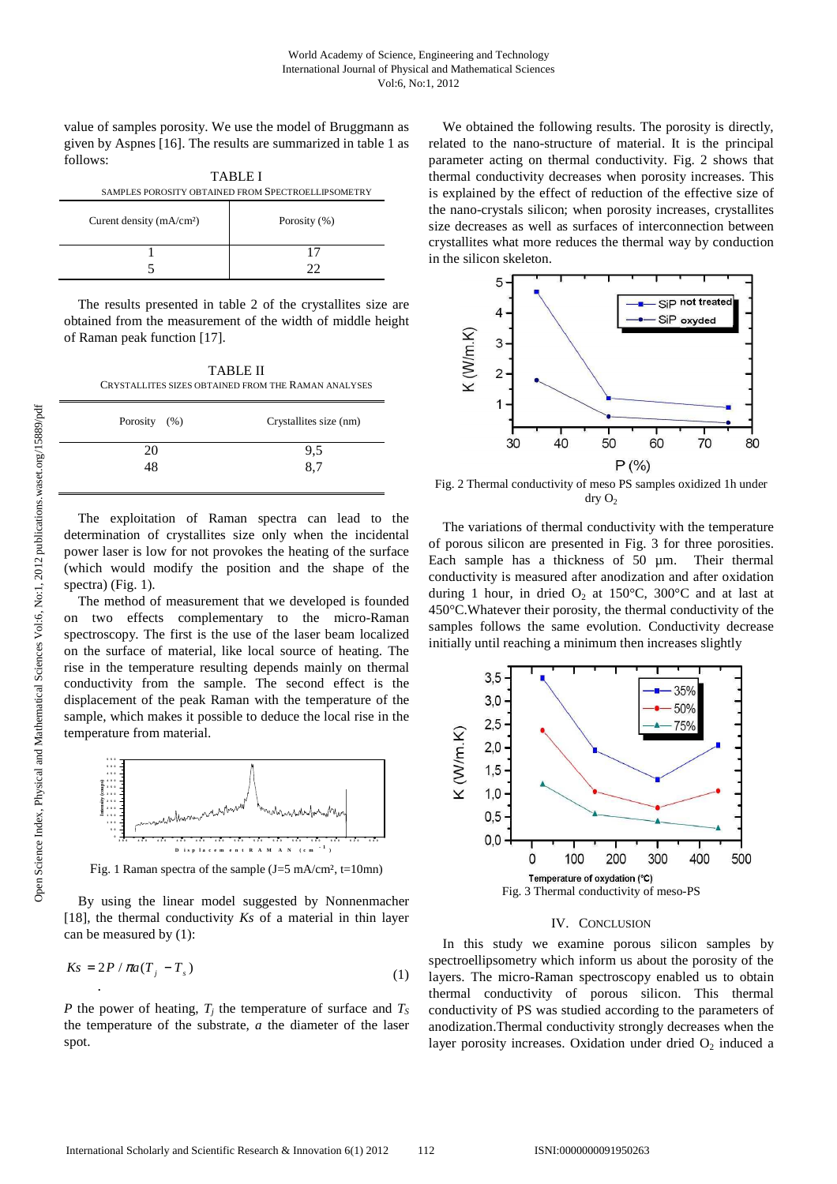value of samples porosity. We use the model of Bruggmann as given by Aspnes [16]. The results are summarized in table 1 as follows:

| <b>TABLE I</b> |                                                    |
|----------------|----------------------------------------------------|
|                | SAMPLES POROSITY OBTAINED FROM SPECTROELLIPSOMETRY |
|                |                                                    |

| Curent density $(mA/cm2)$ | Porosity (%) |
|---------------------------|--------------|
|                           | . 7          |

The results presented in table 2 of the crystallites size are obtained from the measurement of the width of middle height of Raman peak function [17].

TABLE II CRYSTALLITES SIZES OBTAINED FROM THE RAMAN ANALYSES

| Porosity $(\% )$ | Crystallites size (nm) |
|------------------|------------------------|
| 20               | 9,5                    |
| 48               | 8,7                    |
|                  |                        |

The exploitation of Raman spectra can lead to the determination of crystallites size only when the incidental power laser is low for not provokes the heating of the surface (which would modify the position and the shape of the spectra) (Fig. 1).

The method of measurement that we developed is founded on two effects complementary to the micro-Raman spectroscopy. The first is the use of the laser beam localized on the surface of material, like local source of heating. The rise in the temperature resulting depends mainly on thermal conductivity from the sample. The second effect is the displacement of the peak Raman with the temperature of the sample, which makes it possible to deduce the local rise in the temperature from material.



Fig. 1 Raman spectra of the sample  $(J=5 \text{ mA/cm}^2, t=10 \text{mn})$ 

By using the linear model suggested by Nonnenmacher [18], the thermal conductivity *Ks* of a material in thin layer can be measured by (1):

$$
Ks = 2P / \pi a (T_j - T_s) \tag{1}
$$

*P* the power of heating, *T<sup>j</sup>* the temperature of surface and *T<sup>S</sup>* the temperature of the substrate, *a* the diameter of the laser spot.

We obtained the following results. The porosity is directly, related to the nano-structure of material. It is the principal parameter acting on thermal conductivity. Fig. 2 shows that thermal conductivity decreases when porosity increases. This is explained by the effect of reduction of the effective size of the nano-crystals silicon; when porosity increases, crystallites size decreases as well as surfaces of interconnection between crystallites what more reduces the thermal way by conduction in the silicon skeleton.



Fig. 2 Thermal conductivity of meso PS samples oxidized 1h under  $\text{dry } \text{O}_2$ 

The variations of thermal conductivity with the temperature of porous silicon are presented in Fig. 3 for three porosities. Each sample has a thickness of 50  $\mu$ m. Their thermal conductivity is measured after anodization and after oxidation during 1 hour, in dried  $O_2$  at 150°C, 300°C and at last at 450°C.Whatever their porosity, the thermal conductivity of the samples follows the same evolution. Conductivity decrease initially until reaching a minimum then increases slightly



### IV. CONCLUSION

In this study we examine porous silicon samples by spectroellipsometry which inform us about the porosity of the layers. The micro-Raman spectroscopy enabled us to obtain thermal conductivity of porous silicon. This thermal conductivity of PS was studied according to the parameters of anodization.Thermal conductivity strongly decreases when the layer porosity increases. Oxidation under dried  $O_2$  induced a

⋅